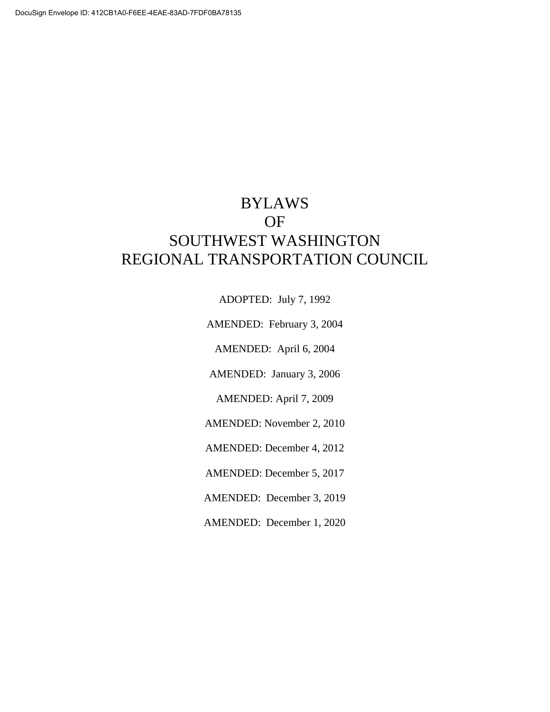# BYLAWS OF SOUTHWEST WASHINGTON REGIONAL TRANSPORTATION COUNCIL

ADOPTED: July 7, 1992

AMENDED: February 3, 2004

AMENDED: April 6, 2004

AMENDED: January 3, 2006

AMENDED: April 7, 2009

AMENDED: November 2, 2010

AMENDED: December 4, 2012

AMENDED: December 5, 2017

AMENDED: December 3, 2019

AMENDED: December 1, 2020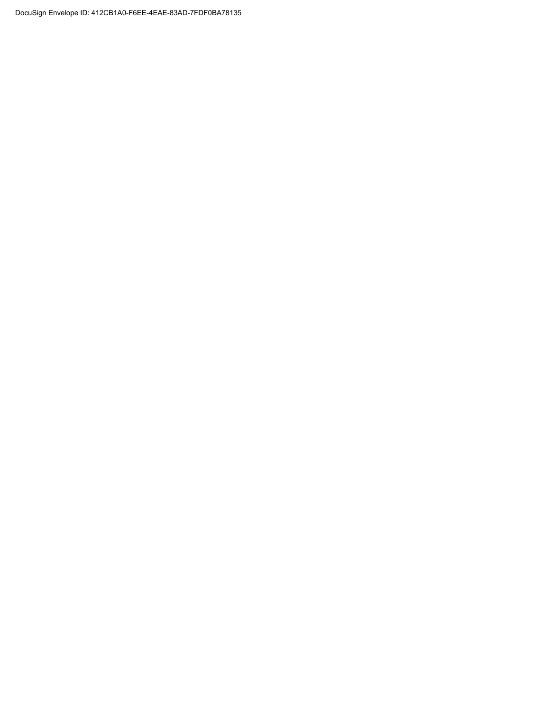DocuSign Envelope ID: 412CB1A0-F6EE-4EAE-83AD-7FDF0BA78135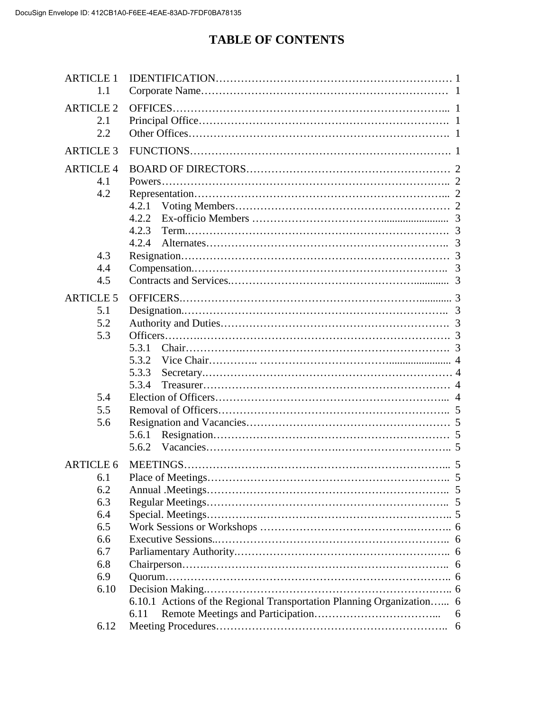# **TABLE OF CONTENTS**

| <b>ARTICLE 1</b><br>1.1        |                                                                       | - 1            |
|--------------------------------|-----------------------------------------------------------------------|----------------|
| <b>ARTICLE 2</b><br>2.1<br>2.2 |                                                                       | -1<br>-1       |
| <b>ARTICLE 3</b>               |                                                                       | -1             |
|                                |                                                                       |                |
| <b>ARTICLE 4</b>               |                                                                       |                |
| 4.1                            |                                                                       |                |
| 4.2                            |                                                                       |                |
|                                | 4.2.1                                                                 |                |
|                                | 4.2.2<br>4.2.3                                                        |                |
|                                |                                                                       | 3<br>3         |
| 4.3                            | 4.2.4                                                                 | $\overline{3}$ |
| 4.4                            |                                                                       | 3              |
| 4.5                            |                                                                       | 3              |
|                                |                                                                       |                |
| <b>ARTICLE 5</b>               |                                                                       |                |
| 5.1                            |                                                                       |                |
| 5.2                            |                                                                       | 3              |
| 5.3                            |                                                                       |                |
|                                | 5.3.1                                                                 |                |
|                                | 5.3.2                                                                 |                |
|                                | 5.3.3                                                                 |                |
|                                | 5.3.4                                                                 | $\overline{4}$ |
| 5.4                            |                                                                       |                |
| 5.5                            |                                                                       |                |
| 5.6                            |                                                                       |                |
|                                |                                                                       |                |
|                                | 5.6.2                                                                 |                |
| <b>ARTICLE 6</b>               |                                                                       |                |
| 6.1                            |                                                                       |                |
| 6.2                            |                                                                       |                |
| 6.3                            |                                                                       |                |
| 6.4                            |                                                                       |                |
| 6.5                            |                                                                       |                |
| 6.6                            |                                                                       |                |
| 6.7                            |                                                                       |                |
| 6.8                            |                                                                       |                |
| 6.9                            |                                                                       |                |
| 6.10                           |                                                                       |                |
|                                | 6.10.1 Actions of the Regional Transportation Planning Organization 6 |                |
|                                | 6.11                                                                  | 6              |
| 6.12                           |                                                                       |                |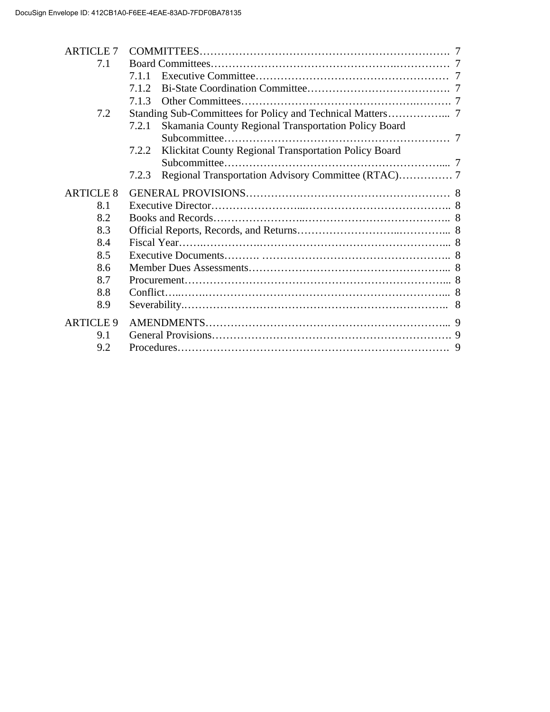| <b>ARTICLE 7</b> |                                                                |  |
|------------------|----------------------------------------------------------------|--|
| 7.1              |                                                                |  |
|                  | 7.1.1                                                          |  |
|                  | 7.1.2                                                          |  |
|                  | 7.1.3                                                          |  |
| 7.2              |                                                                |  |
|                  | Skamania County Regional Transportation Policy Board<br>7.2.1  |  |
|                  |                                                                |  |
|                  | Klickitat County Regional Transportation Policy Board<br>7.2.2 |  |
|                  |                                                                |  |
|                  | 7.2.3                                                          |  |
| <b>ARTICLE 8</b> |                                                                |  |
| 8.1              |                                                                |  |
| 8.2              |                                                                |  |
| 8.3              |                                                                |  |
| 8.4              |                                                                |  |
| 8.5              |                                                                |  |
| 8.6              |                                                                |  |
| 8.7              |                                                                |  |
| 8.8              |                                                                |  |
| 8.9              |                                                                |  |
| <b>ARTICLE 9</b> |                                                                |  |
| 9.1              |                                                                |  |
| 9.2              |                                                                |  |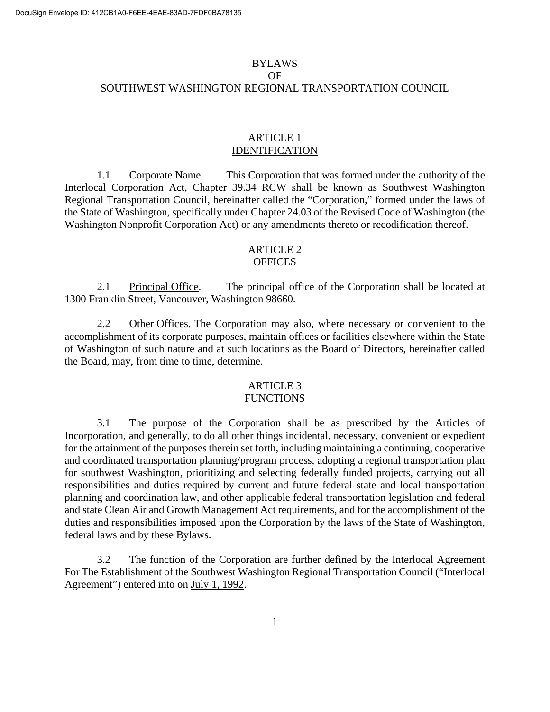# BYLAWS OF SOUTHWEST WASHINGTON REGIONAL TRANSPORTATION COUNCIL

#### ARTICLE 1 IDENTIFICATION

1.1 Corporate Name. This Corporation that was formed under the authority of the Interlocal Corporation Act, Chapter 39.34 RCW shall be known as Southwest Washington Regional Transportation Council, hereinafter called the "Corporation," formed under the laws of the State of Washington, specifically under Chapter 24.03 of the Revised Code of Washington (the Washington Nonprofit Corporation Act) or any amendments thereto or recodification thereof.

#### ARTICLE 2 **OFFICES**

2.1 Principal Office. The principal office of the Corporation shall be located at 1300 Franklin Street, Vancouver, Washington 98660.

2.2 Other Offices. The Corporation may also, where necessary or convenient to the accomplishment of its corporate purposes, maintain offices or facilities elsewhere within the State of Washington of such nature and at such locations as the Board of Directors, hereinafter called the Board, may, from time to time, determine.

#### ARTICLE 3 **FUNCTIONS**

3.1 The purpose of the Corporation shall be as prescribed by the Articles of Incorporation, and generally, to do all other things incidental, necessary, convenient or expedient for the attainment of the purposes therein set forth, including maintaining a continuing, cooperative and coordinated transportation planning/program process, adopting a regional transportation plan for southwest Washington, prioritizing and selecting federally funded projects, carrying out all responsibilities and duties required by current and future federal state and local transportation planning and coordination law, and other applicable federal transportation legislation and federal and state Clean Air and Growth Management Act requirements, and for the accomplishment of the duties and responsibilities imposed upon the Corporation by the laws of the State of Washington, federal laws and by these Bylaws.

3.2 The function of the Corporation are further defined by the Interlocal Agreement For The Establishment of the Southwest Washington Regional Transportation Council ("Interlocal Agreement") entered into on July 1, 1992.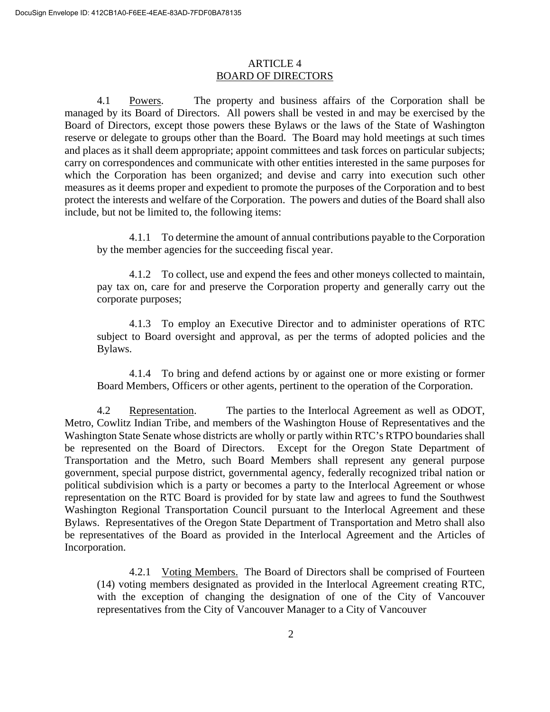#### ARTICLE 4 BOARD OF DIRECTORS

4.1 Powers. The property and business affairs of the Corporation shall be managed by its Board of Directors. All powers shall be vested in and may be exercised by the Board of Directors, except those powers these Bylaws or the laws of the State of Washington reserve or delegate to groups other than the Board. The Board may hold meetings at such times and places as it shall deem appropriate; appoint committees and task forces on particular subjects; carry on correspondences and communicate with other entities interested in the same purposes for which the Corporation has been organized; and devise and carry into execution such other measures as it deems proper and expedient to promote the purposes of the Corporation and to best protect the interests and welfare of the Corporation. The powers and duties of the Board shall also include, but not be limited to, the following items:

4.1.1 To determine the amount of annual contributions payable to the Corporation by the member agencies for the succeeding fiscal year.

4.1.2 To collect, use and expend the fees and other moneys collected to maintain, pay tax on, care for and preserve the Corporation property and generally carry out the corporate purposes;

4.1.3 To employ an Executive Director and to administer operations of RTC subject to Board oversight and approval, as per the terms of adopted policies and the Bylaws.

4.1.4 To bring and defend actions by or against one or more existing or former Board Members, Officers or other agents, pertinent to the operation of the Corporation.

4.2 Representation. The parties to the Interlocal Agreement as well as ODOT, Metro, Cowlitz Indian Tribe, and members of the Washington House of Representatives and the Washington State Senate whose districts are wholly or partly within RTC's RTPO boundaries shall be represented on the Board of Directors. Except for the Oregon State Department of Transportation and the Metro, such Board Members shall represent any general purpose government, special purpose district, governmental agency, federally recognized tribal nation or political subdivision which is a party or becomes a party to the Interlocal Agreement or whose representation on the RTC Board is provided for by state law and agrees to fund the Southwest Washington Regional Transportation Council pursuant to the Interlocal Agreement and these Bylaws. Representatives of the Oregon State Department of Transportation and Metro shall also be representatives of the Board as provided in the Interlocal Agreement and the Articles of Incorporation.

4.2.1 Voting Members. The Board of Directors shall be comprised of Fourteen (14) voting members designated as provided in the Interlocal Agreement creating RTC, with the exception of changing the designation of one of the City of Vancouver representatives from the City of Vancouver Manager to a City of Vancouver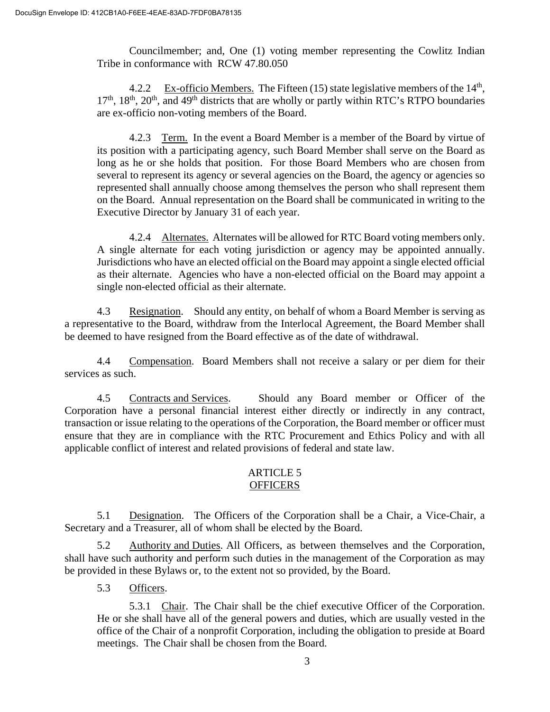Councilmember; and, One (1) voting member representing the Cowlitz Indian Tribe in conformance with RCW 47.80.050

4.2.2 Ex-officio Members. The Fifteen (15) state legislative members of the  $14<sup>th</sup>$ ,  $17<sup>th</sup>$ ,  $18<sup>th</sup>$ ,  $20<sup>th</sup>$ , and  $49<sup>th</sup>$  districts that are wholly or partly within RTC's RTPO boundaries are ex-officio non-voting members of the Board.

4.2.3 Term. In the event a Board Member is a member of the Board by virtue of its position with a participating agency, such Board Member shall serve on the Board as long as he or she holds that position. For those Board Members who are chosen from several to represent its agency or several agencies on the Board, the agency or agencies so represented shall annually choose among themselves the person who shall represent them on the Board. Annual representation on the Board shall be communicated in writing to the Executive Director by January 31 of each year.

4.2.4 Alternates. Alternates will be allowed for RTC Board voting members only. A single alternate for each voting jurisdiction or agency may be appointed annually. Jurisdictions who have an elected official on the Board may appoint a single elected official as their alternate. Agencies who have a non-elected official on the Board may appoint a single non-elected official as their alternate.

4.3 Resignation. Should any entity, on behalf of whom a Board Member is serving as a representative to the Board, withdraw from the Interlocal Agreement, the Board Member shall be deemed to have resigned from the Board effective as of the date of withdrawal.

4.4 Compensation. Board Members shall not receive a salary or per diem for their services as such.

4.5 Contracts and Services. Should any Board member or Officer of the Corporation have a personal financial interest either directly or indirectly in any contract, transaction or issue relating to the operations of the Corporation, the Board member or officer must ensure that they are in compliance with the RTC Procurement and Ethics Policy and with all applicable conflict of interest and related provisions of federal and state law.

#### ARTICLE 5 **OFFICERS**

5.1 Designation. The Officers of the Corporation shall be a Chair, a Vice-Chair, a Secretary and a Treasurer, all of whom shall be elected by the Board.

5.2 Authority and Duties. All Officers, as between themselves and the Corporation, shall have such authority and perform such duties in the management of the Corporation as may be provided in these Bylaws or, to the extent not so provided, by the Board.

5.3 Officers.

5.3.1 Chair. The Chair shall be the chief executive Officer of the Corporation. He or she shall have all of the general powers and duties, which are usually vested in the office of the Chair of a nonprofit Corporation, including the obligation to preside at Board meetings. The Chair shall be chosen from the Board.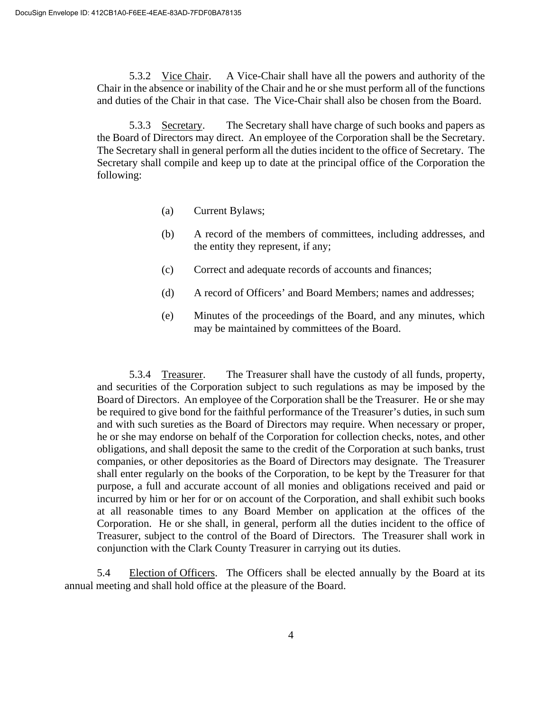5.3.2 Vice Chair. A Vice-Chair shall have all the powers and authority of the Chair in the absence or inability of the Chair and he or she must perform all of the functions and duties of the Chair in that case. The Vice-Chair shall also be chosen from the Board.

5.3.3 Secretary. The Secretary shall have charge of such books and papers as the Board of Directors may direct. An employee of the Corporation shall be the Secretary. The Secretary shall in general perform all the duties incident to the office of Secretary. The Secretary shall compile and keep up to date at the principal office of the Corporation the following:

- (a) Current Bylaws;
- (b) A record of the members of committees, including addresses, and the entity they represent, if any;
- (c) Correct and adequate records of accounts and finances;
- (d) A record of Officers' and Board Members; names and addresses;
- (e) Minutes of the proceedings of the Board, and any minutes, which may be maintained by committees of the Board.

5.3.4 Treasurer. The Treasurer shall have the custody of all funds, property, and securities of the Corporation subject to such regulations as may be imposed by the Board of Directors. An employee of the Corporation shall be the Treasurer. He or she may be required to give bond for the faithful performance of the Treasurer's duties, in such sum and with such sureties as the Board of Directors may require. When necessary or proper, he or she may endorse on behalf of the Corporation for collection checks, notes, and other obligations, and shall deposit the same to the credit of the Corporation at such banks, trust companies, or other depositories as the Board of Directors may designate. The Treasurer shall enter regularly on the books of the Corporation, to be kept by the Treasurer for that purpose, a full and accurate account of all monies and obligations received and paid or incurred by him or her for or on account of the Corporation, and shall exhibit such books at all reasonable times to any Board Member on application at the offices of the Corporation. He or she shall, in general, perform all the duties incident to the office of Treasurer, subject to the control of the Board of Directors. The Treasurer shall work in conjunction with the Clark County Treasurer in carrying out its duties.

5.4 Election of Officers. The Officers shall be elected annually by the Board at its annual meeting and shall hold office at the pleasure of the Board.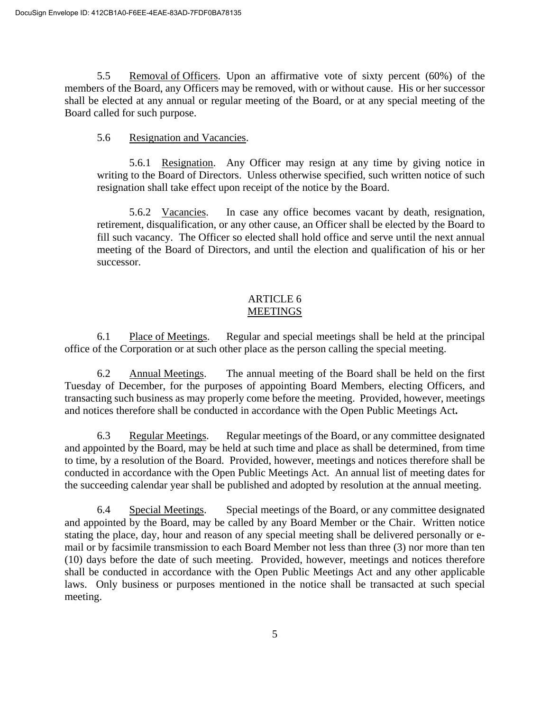5.5 Removal of Officers. Upon an affirmative vote of sixty percent (60%) of the members of the Board, any Officers may be removed, with or without cause. His or her successor shall be elected at any annual or regular meeting of the Board, or at any special meeting of the Board called for such purpose.

#### 5.6 Resignation and Vacancies.

5.6.1 Resignation. Any Officer may resign at any time by giving notice in writing to the Board of Directors. Unless otherwise specified, such written notice of such resignation shall take effect upon receipt of the notice by the Board.

5.6.2 Vacancies. In case any office becomes vacant by death, resignation, retirement, disqualification, or any other cause, an Officer shall be elected by the Board to fill such vacancy. The Officer so elected shall hold office and serve until the next annual meeting of the Board of Directors, and until the election and qualification of his or her successor.

#### ARTICLE 6 MEETINGS

6.1 Place of Meetings. Regular and special meetings shall be held at the principal office of the Corporation or at such other place as the person calling the special meeting.

6.2 Annual Meetings. The annual meeting of the Board shall be held on the first Tuesday of December, for the purposes of appointing Board Members, electing Officers, and transacting such business as may properly come before the meeting. Provided, however, meetings and notices therefore shall be conducted in accordance with the Open Public Meetings Act**.**

6.3 Regular Meetings. Regular meetings of the Board, or any committee designated and appointed by the Board, may be held at such time and place as shall be determined, from time to time, by a resolution of the Board. Provided, however, meetings and notices therefore shall be conducted in accordance with the Open Public Meetings Act. An annual list of meeting dates for the succeeding calendar year shall be published and adopted by resolution at the annual meeting.

6.4 Special Meetings. Special meetings of the Board, or any committee designated and appointed by the Board, may be called by any Board Member or the Chair. Written notice stating the place, day, hour and reason of any special meeting shall be delivered personally or email or by facsimile transmission to each Board Member not less than three (3) nor more than ten (10) days before the date of such meeting. Provided, however, meetings and notices therefore shall be conducted in accordance with the Open Public Meetings Act and any other applicable laws. Only business or purposes mentioned in the notice shall be transacted at such special meeting.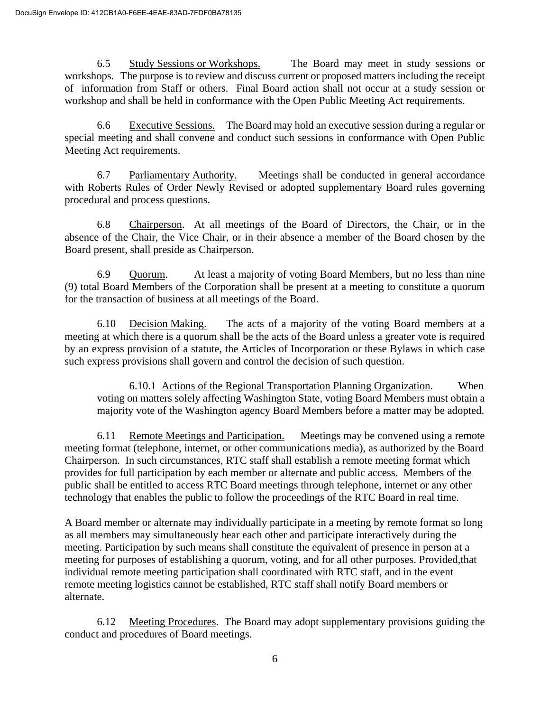6.5 Study Sessions or Workshops. The Board may meet in study sessions or workshops. The purpose is to review and discuss current or proposed matters including the receipt of information from Staff or others. Final Board action shall not occur at a study session or workshop and shall be held in conformance with the Open Public Meeting Act requirements.

6.6 Executive Sessions. The Board may hold an executive session during a regular or special meeting and shall convene and conduct such sessions in conformance with Open Public Meeting Act requirements.

6.7 Parliamentary Authority. Meetings shall be conducted in general accordance with Roberts Rules of Order Newly Revised or adopted supplementary Board rules governing procedural and process questions.

6.8 Chairperson. At all meetings of the Board of Directors, the Chair, or in the absence of the Chair, the Vice Chair, or in their absence a member of the Board chosen by the Board present, shall preside as Chairperson.

6.9 Quorum. At least a majority of voting Board Members, but no less than nine (9) total Board Members of the Corporation shall be present at a meeting to constitute a quorum for the transaction of business at all meetings of the Board.

6.10 Decision Making. The acts of a majority of the voting Board members at a meeting at which there is a quorum shall be the acts of the Board unless a greater vote is required by an express provision of a statute, the Articles of Incorporation or these Bylaws in which case such express provisions shall govern and control the decision of such question.

6.10.1 Actions of the Regional Transportation Planning Organization. When voting on matters solely affecting Washington State, voting Board Members must obtain a majority vote of the Washington agency Board Members before a matter may be adopted.

6.11 Remote Meetings and Participation. Meetings may be convened using a remote meeting format (telephone, internet, or other communications media), as authorized by the Board Chairperson. In such circumstances, RTC staff shall establish a remote meeting format which provides for full participation by each member or alternate and public access. Members of the public shall be entitled to access RTC Board meetings through telephone, internet or any other technology that enables the public to follow the proceedings of the RTC Board in real time.

A Board member or alternate may individually participate in a meeting by remote format so long as all members may simultaneously hear each other and participate interactively during the meeting. Participation by such means shall constitute the equivalent of presence in person at a meeting for purposes of establishing a quorum, voting, and for all other purposes. Provided,that individual remote meeting participation shall coordinated with RTC staff, and in the event remote meeting logistics cannot be established, RTC staff shall notify Board members or alternate.

6.12 Meeting Procedures. The Board may adopt supplementary provisions guiding the conduct and procedures of Board meetings.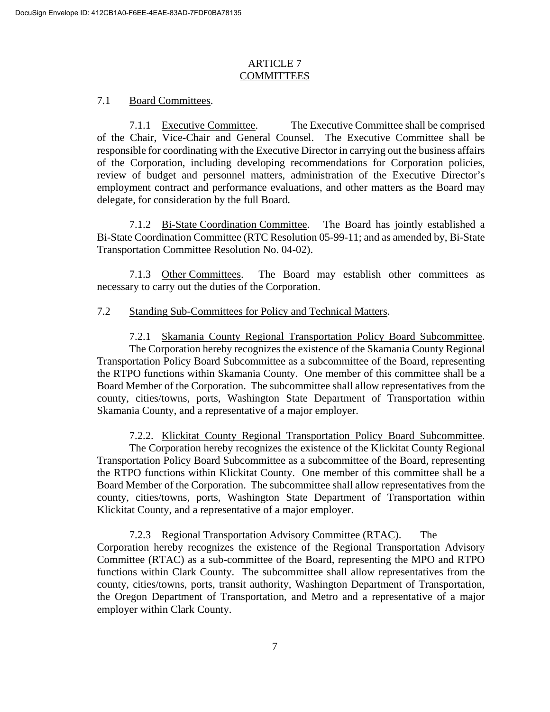# ARTICLE 7 **COMMITTEES**

#### 7.1 Board Committees.

7.1.1 Executive Committee. The Executive Committee shall be comprised of the Chair, Vice-Chair and General Counsel. The Executive Committee shall be responsible for coordinating with the Executive Director in carrying out the business affairs of the Corporation, including developing recommendations for Corporation policies, review of budget and personnel matters, administration of the Executive Director's employment contract and performance evaluations, and other matters as the Board may delegate, for consideration by the full Board.

7.1.2 Bi-State Coordination Committee. The Board has jointly established a Bi-State Coordination Committee (RTC Resolution 05-99-11; and as amended by, Bi-State Transportation Committee Resolution No. 04-02).

7.1.3 Other Committees. The Board may establish other committees as necessary to carry out the duties of the Corporation.

#### 7.2 Standing Sub-Committees for Policy and Technical Matters.

7.2.1 Skamania County Regional Transportation Policy Board Subcommittee. The Corporation hereby recognizes the existence of the Skamania County Regional Transportation Policy Board Subcommittee as a subcommittee of the Board, representing the RTPO functions within Skamania County. One member of this committee shall be a Board Member of the Corporation. The subcommittee shall allow representatives from the county, cities/towns, ports, Washington State Department of Transportation within Skamania County, and a representative of a major employer.

7.2.2. Klickitat County Regional Transportation Policy Board Subcommittee. The Corporation hereby recognizes the existence of the Klickitat County Regional Transportation Policy Board Subcommittee as a subcommittee of the Board, representing the RTPO functions within Klickitat County. One member of this committee shall be a Board Member of the Corporation. The subcommittee shall allow representatives from the county, cities/towns, ports, Washington State Department of Transportation within Klickitat County, and a representative of a major employer.

7.2.3 Regional Transportation Advisory Committee (RTAC). The Corporation hereby recognizes the existence of the Regional Transportation Advisory Committee (RTAC) as a sub-committee of the Board, representing the MPO and RTPO functions within Clark County. The subcommittee shall allow representatives from the county, cities/towns, ports, transit authority, Washington Department of Transportation, the Oregon Department of Transportation, and Metro and a representative of a major employer within Clark County.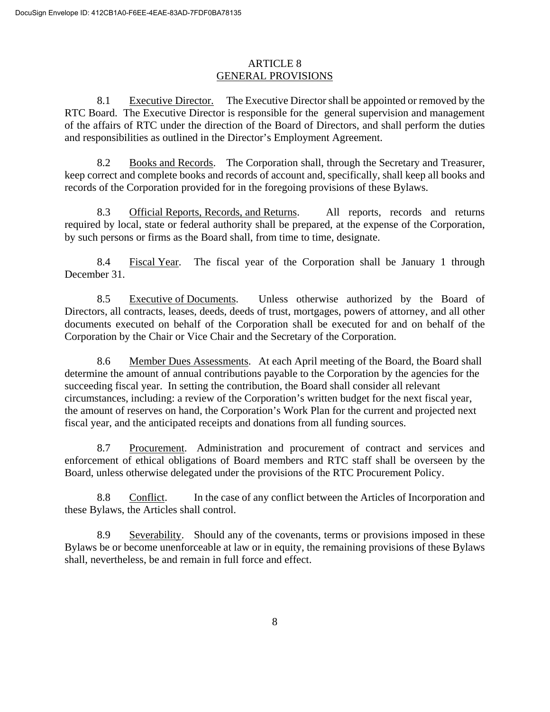# ARTICLE 8 GENERAL PROVISIONS

8.1 Executive Director. The Executive Director shall be appointed or removed by the RTC Board. The Executive Director is responsible for the general supervision and management of the affairs of RTC under the direction of the Board of Directors, and shall perform the duties and responsibilities as outlined in the Director's Employment Agreement.

8.2 Books and Records. The Corporation shall, through the Secretary and Treasurer, keep correct and complete books and records of account and, specifically, shall keep all books and records of the Corporation provided for in the foregoing provisions of these Bylaws.

8.3 Official Reports, Records, and Returns. All reports, records and returns required by local, state or federal authority shall be prepared, at the expense of the Corporation, by such persons or firms as the Board shall, from time to time, designate.

8.4 Fiscal Year. The fiscal year of the Corporation shall be January 1 through December 31.

8.5 Executive of Documents. Unless otherwise authorized by the Board of Directors, all contracts, leases, deeds, deeds of trust, mortgages, powers of attorney, and all other documents executed on behalf of the Corporation shall be executed for and on behalf of the Corporation by the Chair or Vice Chair and the Secretary of the Corporation.

8.6 Member Dues Assessments. At each April meeting of the Board, the Board shall determine the amount of annual contributions payable to the Corporation by the agencies for the succeeding fiscal year. In setting the contribution, the Board shall consider all relevant circumstances, including: a review of the Corporation's written budget for the next fiscal year, the amount of reserves on hand, the Corporation's Work Plan for the current and projected next fiscal year, and the anticipated receipts and donations from all funding sources.

8.7 Procurement. Administration and procurement of contract and services and enforcement of ethical obligations of Board members and RTC staff shall be overseen by the Board, unless otherwise delegated under the provisions of the RTC Procurement Policy.

8.8 Conflict. In the case of any conflict between the Articles of Incorporation and these Bylaws, the Articles shall control.

8.9 Severability. Should any of the covenants, terms or provisions imposed in these Bylaws be or become unenforceable at law or in equity, the remaining provisions of these Bylaws shall, nevertheless, be and remain in full force and effect.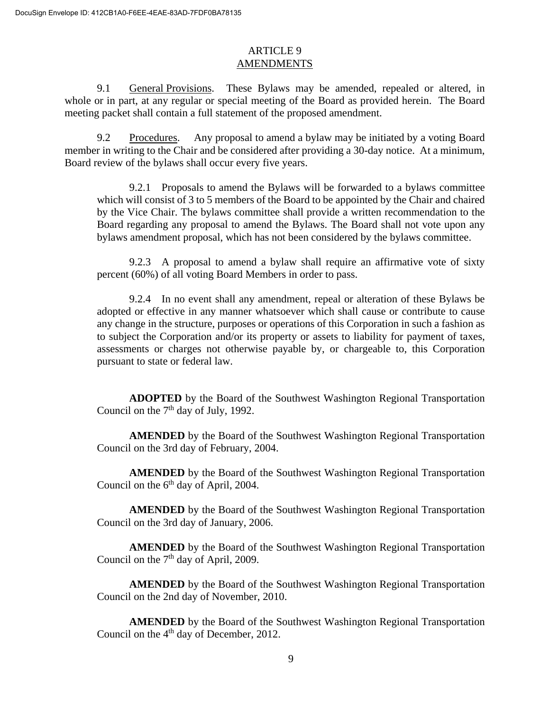#### ARTICLE 9 AMENDMENTS

9.1 General Provisions. These Bylaws may be amended, repealed or altered, in whole or in part, at any regular or special meeting of the Board as provided herein. The Board meeting packet shall contain a full statement of the proposed amendment.

9.2 Procedures. Any proposal to amend a bylaw may be initiated by a voting Board member in writing to the Chair and be considered after providing a 30-day notice. At a minimum, Board review of the bylaws shall occur every five years.

9.2.1 Proposals to amend the Bylaws will be forwarded to a bylaws committee which will consist of 3 to 5 members of the Board to be appointed by the Chair and chaired by the Vice Chair. The bylaws committee shall provide a written recommendation to the Board regarding any proposal to amend the Bylaws. The Board shall not vote upon any bylaws amendment proposal, which has not been considered by the bylaws committee.

9.2.3 A proposal to amend a bylaw shall require an affirmative vote of sixty percent (60%) of all voting Board Members in order to pass.

9.2.4 In no event shall any amendment, repeal or alteration of these Bylaws be adopted or effective in any manner whatsoever which shall cause or contribute to cause any change in the structure, purposes or operations of this Corporation in such a fashion as to subject the Corporation and/or its property or assets to liability for payment of taxes, assessments or charges not otherwise payable by, or chargeable to, this Corporation pursuant to state or federal law.

**ADOPTED** by the Board of the Southwest Washington Regional Transportation Council on the  $7<sup>th</sup>$  day of July, 1992.

**AMENDED** by the Board of the Southwest Washington Regional Transportation Council on the 3rd day of February, 2004.

**AMENDED** by the Board of the Southwest Washington Regional Transportation Council on the  $6<sup>th</sup>$  day of April, 2004.

**AMENDED** by the Board of the Southwest Washington Regional Transportation Council on the 3rd day of January, 2006.

**AMENDED** by the Board of the Southwest Washington Regional Transportation Council on the  $7<sup>th</sup>$  day of April, 2009.

**AMENDED** by the Board of the Southwest Washington Regional Transportation Council on the 2nd day of November, 2010.

**AMENDED** by the Board of the Southwest Washington Regional Transportation Council on the  $4<sup>th</sup>$  day of December, 2012.